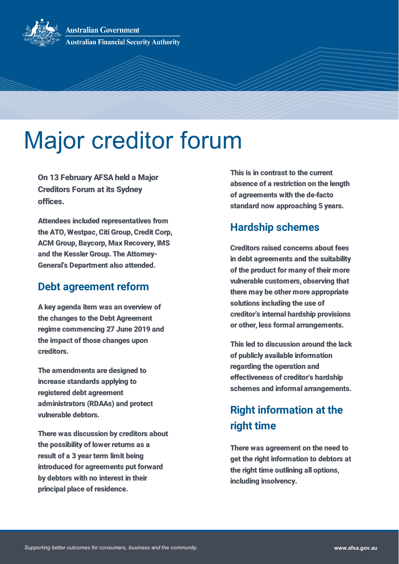**Australian Government Australian Financial Security Authority** 

# Major creditor forum

On 13 February AFSA held a Major Creditors Forum at its Sydney offices.

Attendees included representatives from the ATO, Westpac, Citi Group, Credit Corp, ACM Group, Baycorp, Max Recovery, IMS and the Kessler Group. The Attorney-General's Department also attended.

#### **Debt agreement reform**

A key agenda item was an overview of the changes to the Debt Agreement regime commencing 27 June 2019 and the impact of those changes upon creditors.

The amendments are designed to increase standards applying to registered debt agreement administrators (RDAAs) and protect vulnerable debtors.

There was discussion by creditors about the possibility of lower returns as a result of a 3 year term limit being introduced for agreements put forward by debtors with no interest in their principal place of residence.

This is in contrast to the current absence of a restriction on the length of agreements with the de-facto standard now approaching 5 years.

## **Hardship schemes**

Creditors raised concerns about fees in debt agreements and the suitability of the product for many of their more vulnerable customers, observing that there may be other more appropriate solutions including the use of creditor's internal hardship provisions or other, less formal arrangements.

This led to discussion around the lack of publicly available information regarding the operation and effectiveness of creditor's hardship schemes and informal arrangements.

# **Right information at the right time**

There was agreement on the need to get the right information to debtors at the right time outlining all options, including insolvency.